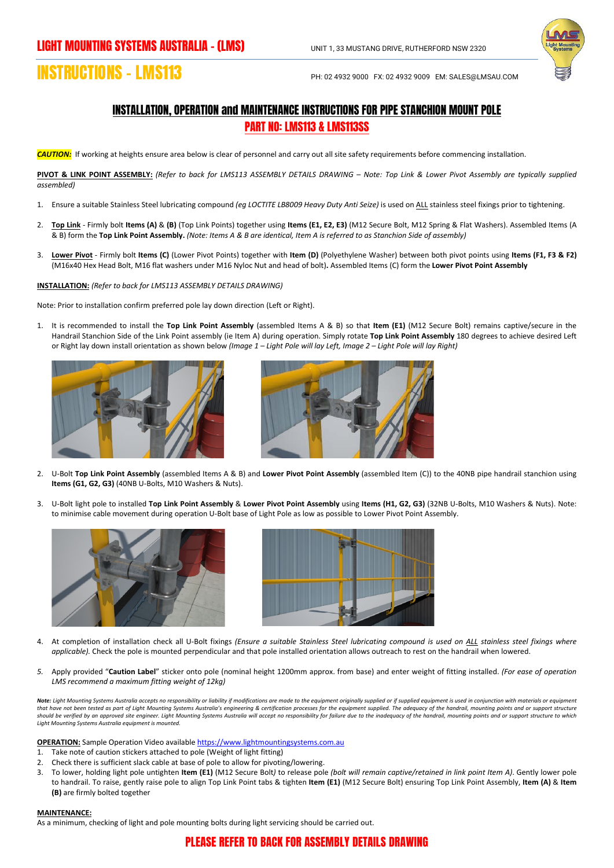

## **INSTRUCTIONS – LMS113** PH: 02 4932 9000 FX: 02 4932 9009 EM: SALES@LMSAU.COM

## INSTALLATION, OPERATION and MAINTENANCE INSTRUCTIONS FOR PIPE STANCHION MOUNT POLE PART NO: LMS113 & LMS113SS

*CAUTION:*If working at heights ensure area below is clear of personnel and carry out all site safety requirements before commencing installation.

**PIVOT & LINK POINT ASSEMBLY:** *(Refer to back for LMS113 ASSEMBLY DETAILS DRAWING – Note: Top Link & Lower Pivot Assembly are typically supplied assembled)*

- 1. Ensure a suitable Stainless Steel lubricating compound *(eg LOCTITE LB8009 Heavy Duty Anti Seize)* is used on ALL stainless steel fixings prior to tightening.
- 2. **Top Link** Firmly bolt **Items (A)** & **(B)** (Top Link Points) together using **Items (E1, E2, E3)** (M12 Secure Bolt, M12 Spring & Flat Washers). Assembled Items (A & B) form the **Top Link Point Assembly.** *(Note: Items A & B are identical, Item A is referred to as Stanchion Side of assembly)*
- 3. **Lower Pivot** Firmly bolt **Items (C)** (Lower Pivot Points) together with **Item (D)** (Polyethylene Washer) between both pivot points using **Items (F1, F3 & F2)** (M16x40 Hex Head Bolt, M16 flat washers under M16 Nyloc Nut and head of bolt)**.** Assembled Items (C) form the **Lower Pivot Point Assembly**

**INSTALLATION:** *(Refer to back for LMS113 ASSEMBLY DETAILS DRAWING)*

Note: Prior to installation confirm preferred pole lay down direction (Left or Right).

1. It is recommended to install the **Top Link Point Assembly** (assembled Items A & B) so that **Item (E1)** (M12 Secure Bolt) remains captive/secure in the Handrail Stanchion Side of the Link Point assembly (ie Item A) during operation. Simply rotate **Top Link Point Assembly** 180 degrees to achieve desired Left or Right lay down install orientation as shown below *(Image 1 – Light Pole will lay Left, Image 2 – Light Pole will lay Right)*





- 2. U-Bolt **Top Link Point Assembly** (assembled Items A & B) and **Lower Pivot Point Assembly** (assembled Item (C)) to the 40NB pipe handrail stanchion using **Items (G1, G2, G3)** (40NB U-Bolts, M10 Washers & Nuts).
- 3. U-Bolt light pole to installed **Top Link Point Assembly** & **Lower Pivot Point Assembly** using **Items (H1, G2, G3)** (32NB U-Bolts, M10 Washers & Nuts). Note: to minimise cable movement during operation U-Bolt base of Light Pole as low as possible to Lower Pivot Point Assembly.





- 4. At completion of installation check all U-Bolt fixings *(Ensure a suitable Stainless Steel lubricating compound is used on ALL stainless steel fixings where applicable).* Check the pole is mounted perpendicular and that pole installed orientation allows outreach to rest on the handrail when lowered.
- *5.* Apply provided "**Caution Label**" sticker onto pole (nominal height 1200mm approx. from base) and enter weight of fitting installed. *(For ease of operation LMS recommend a maximum fitting weight of 12kg)*

Note: Light Mounting Systems Australia accepts no responsibility or liability if modifications are made to the equipment originally supplied or if supplied equipment is used in conjunction with materials or equipment *that have not been tested as part of Light Mounting Systems Australia's engineering & certification processes for the equipment supplied. The adequacy of the handrail, mounting points and or support structure should be verified by an approved site engineer. Light Mounting Systems Australia will accept no responsibility for failure due to the inadequacy of the handrail, mounting points and or support structure to which Light Mounting Systems Australia equipment is mounted.*

**OPERATION:** Sample Operation Video availabl[e https://www.lightmountingsystems.com.au](https://www.lightmountingsystems.com.au/)

- Take note of caution stickers attached to pole (Weight of light fitting)
- 2. Check there is sufficient slack cable at base of pole to allow for pivoting/lowering.
- 3. To lower, holding light pole untighten **Item (E1)** (M12 Secure Bolt*)* to release pole *(bolt will remain captive/retained in link point Item A)*. Gently lower pole to handrail. To raise, gently raise pole to align Top Link Point tabs & tighten **Item (E1)** (M12 Secure Bolt) ensuring Top Link Point Assembly, **Item (A)** & **Item (B)** are firmly bolted together

## **MAINTENANCE:**

As a minimum, checking of light and pole mounting bolts during light servicing should be carried out.

## PLEASE REFER TO BACK FOR ASSEMBLY DETAILS DRAWING